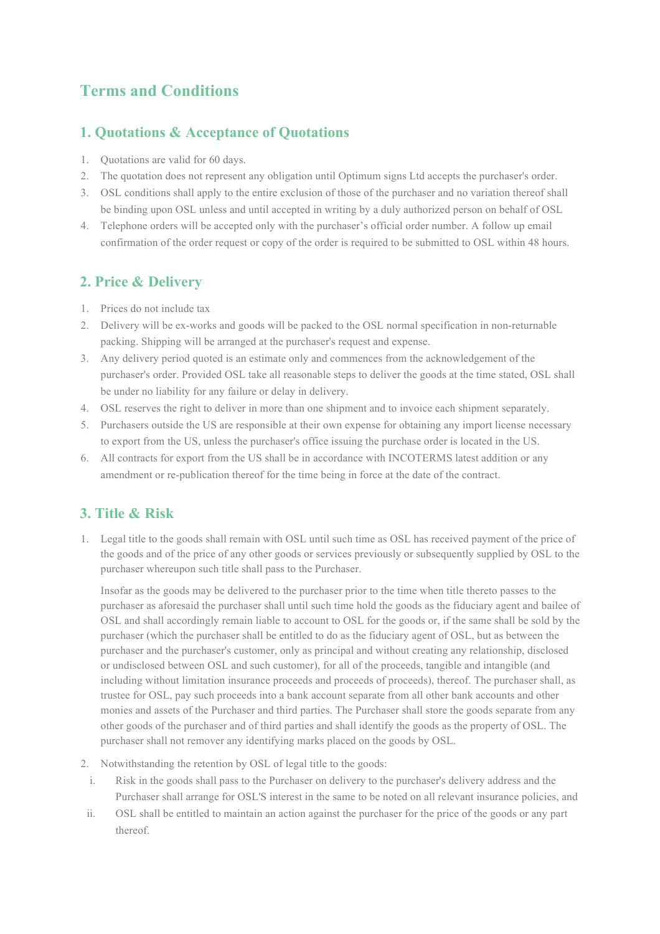# **Terms and Conditions**

## **1. Quotations & Acceptance of Quotations**

- 1. Quotations are valid for 60 days.
- 2. The quotation does not represent any obligation until Optimum signs Ltd accepts the purchaser's order.
- 3. OSL conditions shall apply to the entire exclusion of those of the purchaser and no variation thereof shall be binding upon OSL unless and until accepted in writing by a duly authorized person on behalf of OSL
- 4. Telephone orders will be accepted only with the purchaser's official order number. A follow up email confirmation of the order request or copy of the order is required to be submitted to OSL within 48 hours.

## **2. Price & Delivery**

- 1. Prices do not include tax
- 2. Delivery will be ex-works and goods will be packed to the OSL normal specification in non-returnable packing. Shipping will be arranged at the purchaser's request and expense.
- 3. Any delivery period quoted is an estimate only and commences from the acknowledgement of the purchaser's order. Provided OSL take all reasonable steps to deliver the goods at the time stated, OSL shall be under no liability for any failure or delay in delivery.
- 4. OSL reserves the right to deliver in more than one shipment and to invoice each shipment separately.
- 5. Purchasers outside the US are responsible at their own expense for obtaining any import license necessary to export from the US, unless the purchaser's office issuing the purchase order is located in the US.
- 6. All contracts for export from the US shall be in accordance with INCOTERMS latest addition or any amendment or re-publication thereof for the time being in force at the date of the contract.

## **3. Title & Risk**

1. Legal title to the goods shall remain with OSL until such time as OSL has received payment of the price of the goods and of the price of any other goods or services previously or subsequently supplied by OSL to the purchaser whereupon such title shall pass to the Purchaser.

Insofar as the goods may be delivered to the purchaser prior to the time when title thereto passes to the purchaser as aforesaid the purchaser shall until such time hold the goods as the fiduciary agent and bailee of OSL and shall accordingly remain liable to account to OSL for the goods or, if the same shall be sold by the purchaser (which the purchaser shall be entitled to do as the fiduciary agent of OSL, but as between the purchaser and the purchaser's customer, only as principal and without creating any relationship, disclosed or undisclosed between OSL and such customer), for all of the proceeds, tangible and intangible (and including without limitation insurance proceeds and proceeds of proceeds), thereof. The purchaser shall, as trustee for OSL, pay such proceeds into a bank account separate from all other bank accounts and other monies and assets of the Purchaser and third parties. The Purchaser shall store the goods separate from any other goods of the purchaser and of third parties and shall identify the goods as the property of OSL. The purchaser shall not remover any identifying marks placed on the goods by OSL.

- 2. Notwithstanding the retention by OSL of legal title to the goods:
- i. Risk in the goods shall pass to the Purchaser on delivery to the purchaser's delivery address and the Purchaser shall arrange for OSL'S interest in the same to be noted on all relevant insurance policies, and
- ii. OSL shall be entitled to maintain an action against the purchaser for the price of the goods or any part thereof.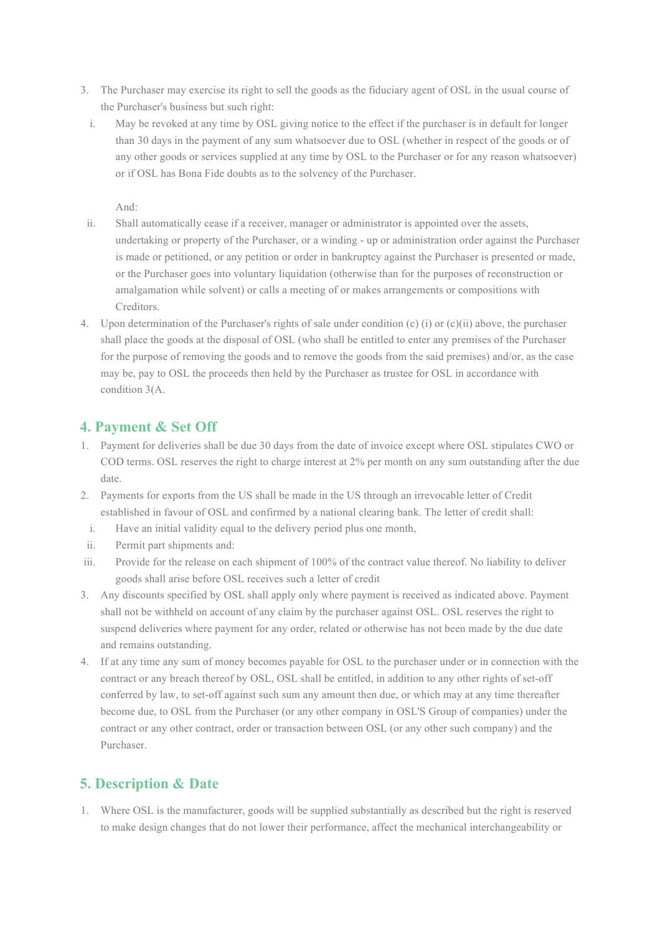- 3. The Purchaser may exercise its right to sell the goods as the fiduciary agent of OSL in the usual course of the Purchaser's business but such right:
	- i. May be revoked at any time by OSL giving notice to the effect if the purchaser is in default for longer than 30 days in the payment of any sum whatsoever due to OSL (whether in respect of the goods or of any other goods or services supplied at any time by OSL to the Purchaser or for any reason whatsoever) or if OSL has Bona Fide doubts as to the solvency of the Purchaser.

And:

- ii. Shall automatically cease if a receiver, manager or administrator is appointed over the assets, undertaking or property of the Purchaser, or a winding - up or administration order against the Purchaser is made or petitioned, or any petition or order in bankruptcy against the Purchaser is presented or made, or the Purchaser goes into voluntary liquidation (otherwise than for the purposes of reconstruction or amalgamation while solvent) or calls a meeting of or makes arrangements or compositions with Creditors.
- 4. Upon determination of the Purchaser's rights of sale under condition (c) (i) or (c)(ii) above, the purchaser shall place the goods at the disposal of OSL (who shall be entitled to enter any premises of the Purchaser for the purpose of removing the goods and to remove the goods from the said premises) and/or, as the case may be, pay to OSL the proceeds then held by the Purchaser as trustee for OSL in accordance with condition 3(A.

### **4. Payment & Set Off**

- 1. Payment for deliveries shall be due 30 days from the date of invoice except where OSL stipulates CWO or COD terms. OSL reserves the right to charge interest at 2% per month on any sum outstanding after the due date.
- 2. Payments for exports from the US shall be made in the US through an irrevocable letter of Credit established in favour of OSL and confirmed by a national clearing bank. The letter of credit shall:
	- i. Have an initial validity equal to the delivery period plus one month,
- ii. Permit part shipments and:
- iii. Provide for the release on each shipment of 100% of the contract value thereof. No liability to deliver goods shall arise before OSL receives such a letter of credit
- 3. Any discounts specified by OSL shall apply only where payment is received as indicated above. Payment shall not be withheld on account of any claim by the purchaser against OSL. OSL reserves the right to suspend deliveries where payment for any order, related or otherwise has not been made by the due date and remains outstanding.
- 4. If at any time any sum of money becomes payable for OSL to the purchaser under or in connection with the contract or any breach thereof by OSL, OSL shall be entitled, in addition to any other rights of set-off conferred by law, to set-off against such sum any amount then due, or which may at any time thereafter become due, to OSL from the Purchaser (or any other company in OSL'S Group of companies) under the contract or any other contract, order or transaction between OSL (or any other such company) and the Purchaser.

## **5. Description & Date**

1. Where OSL is the manufacturer, goods will be supplied substantially as described but the right is reserved to make design changes that do not lower their performance, affect the mechanical interchangeability or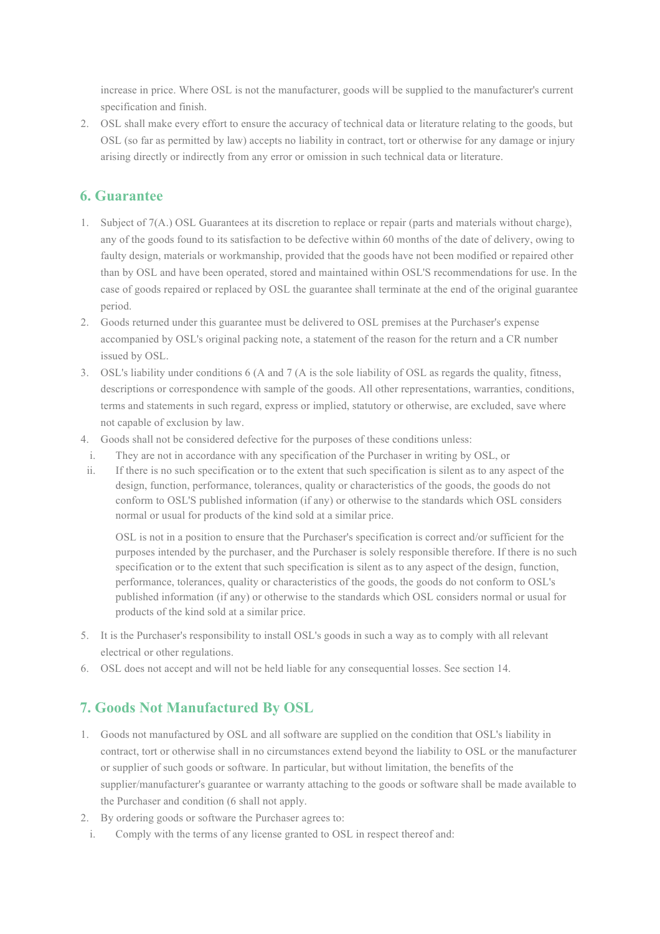increase in price. Where OSL is not the manufacturer, goods will be supplied to the manufacturer's current specification and finish.

2. OSL shall make every effort to ensure the accuracy of technical data or literature relating to the goods, but OSL (so far as permitted by law) accepts no liability in contract, tort or otherwise for any damage or injury arising directly or indirectly from any error or omission in such technical data or literature.

## **6. Guarantee**

- 1. Subject of 7(A.) OSL Guarantees at its discretion to replace or repair (parts and materials without charge), any of the goods found to its satisfaction to be defective within 60 months of the date of delivery, owing to faulty design, materials or workmanship, provided that the goods have not been modified or repaired other than by OSL and have been operated, stored and maintained within OSL'S recommendations for use. In the case of goods repaired or replaced by OSL the guarantee shall terminate at the end of the original guarantee period.
- 2. Goods returned under this guarantee must be delivered to OSL premises at the Purchaser's expense accompanied by OSL's original packing note, a statement of the reason for the return and a CR number issued by OSL.
- 3. OSL's liability under conditions 6 (A and 7 (A is the sole liability of OSL as regards the quality, fitness, descriptions or correspondence with sample of the goods. All other representations, warranties, conditions, terms and statements in such regard, express or implied, statutory or otherwise, are excluded, save where not capable of exclusion by law.
- 4. Goods shall not be considered defective for the purposes of these conditions unless:
- i. They are not in accordance with any specification of the Purchaser in writing by OSL, or
- ii. If there is no such specification or to the extent that such specification is silent as to any aspect of the design, function, performance, tolerances, quality or characteristics of the goods, the goods do not conform to OSL'S published information (if any) or otherwise to the standards which OSL considers normal or usual for products of the kind sold at a similar price.

OSL is not in a position to ensure that the Purchaser's specification is correct and/or sufficient for the purposes intended by the purchaser, and the Purchaser is solely responsible therefore. If there is no such specification or to the extent that such specification is silent as to any aspect of the design, function, performance, tolerances, quality or characteristics of the goods, the goods do not conform to OSL's published information (if any) or otherwise to the standards which OSL considers normal or usual for products of the kind sold at a similar price.

- 5. It is the Purchaser's responsibility to install OSL's goods in such a way as to comply with all relevant electrical or other regulations.
- 6. OSL does not accept and will not be held liable for any consequential losses. See section 14.

## **7. Goods Not Manufactured By OSL**

- 1. Goods not manufactured by OSL and all software are supplied on the condition that OSL's liability in contract, tort or otherwise shall in no circumstances extend beyond the liability to OSL or the manufacturer or supplier of such goods or software. In particular, but without limitation, the benefits of the supplier/manufacturer's guarantee or warranty attaching to the goods or software shall be made available to the Purchaser and condition (6 shall not apply.
- 2. By ordering goods or software the Purchaser agrees to:
	- i. Comply with the terms of any license granted to OSL in respect thereof and: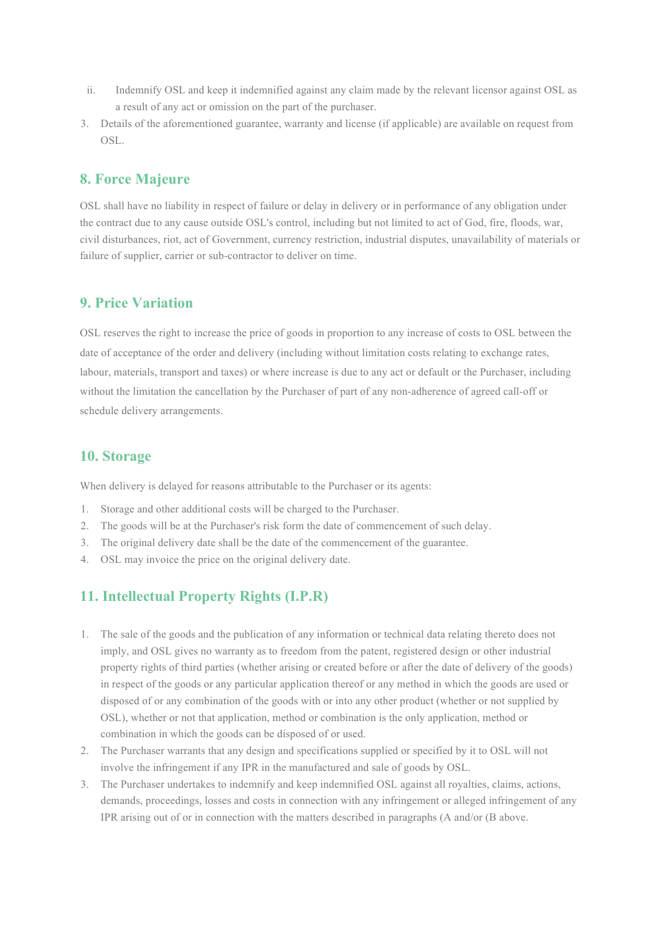- ii. Indemnify OSL and keep it indemnified against any claim made by the relevant licensor against OSL as a result of any act or omission on the part of the purchaser.
- 3. Details of the aforementioned guarantee, warranty and license (if applicable) are available on request from OSL.

### **8. Force Majeure**

OSL shall have no liability in respect of failure or delay in delivery or in performance of any obligation under the contract due to any cause outside OSL's control, including but not limited to act of God, fire, floods, war, civil disturbances, riot, act of Government, currency restriction, industrial disputes, unavailability of materials or failure of supplier, carrier or sub-contractor to deliver on time.

#### **9. Price Variation**

OSL reserves the right to increase the price of goods in proportion to any increase of costs to OSL between the date of acceptance of the order and delivery (including without limitation costs relating to exchange rates, labour, materials, transport and taxes) or where increase is due to any act or default or the Purchaser, including without the limitation the cancellation by the Purchaser of part of any non-adherence of agreed call-off or schedule delivery arrangements.

#### **10. Storage**

When delivery is delayed for reasons attributable to the Purchaser or its agents:

- 1. Storage and other additional costs will be charged to the Purchaser.
- 2. The goods will be at the Purchaser's risk form the date of commencement of such delay.
- 3. The original delivery date shall be the date of the commencement of the guarantee.
- 4. OSL may invoice the price on the original delivery date.

## **11. Intellectual Property Rights (I.P.R)**

- 1. The sale of the goods and the publication of any information or technical data relating thereto does not imply, and OSL gives no warranty as to freedom from the patent, registered design or other industrial property rights of third parties (whether arising or created before or after the date of delivery of the goods) in respect of the goods or any particular application thereof or any method in which the goods are used or disposed of or any combination of the goods with or into any other product (whether or not supplied by OSL), whether or not that application, method or combination is the only application, method or combination in which the goods can be disposed of or used.
- 2. The Purchaser warrants that any design and specifications supplied or specified by it to OSL will not involve the infringement if any IPR in the manufactured and sale of goods by OSL.
- 3. The Purchaser undertakes to indemnify and keep indemnified OSL against all royalties, claims, actions, demands, proceedings, losses and costs in connection with any infringement or alleged infringement of any IPR arising out of or in connection with the matters described in paragraphs (A and/or (B above.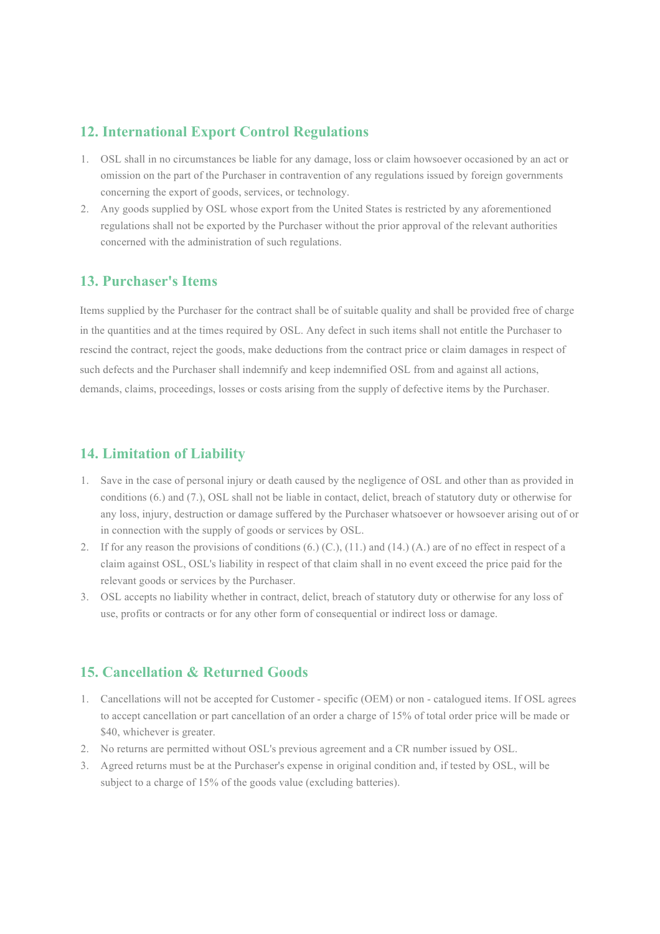#### **12. International Export Control Regulations**

- 1. OSL shall in no circumstances be liable for any damage, loss or claim howsoever occasioned by an act or omission on the part of the Purchaser in contravention of any regulations issued by foreign governments concerning the export of goods, services, or technology.
- 2. Any goods supplied by OSL whose export from the United States is restricted by any aforementioned regulations shall not be exported by the Purchaser without the prior approval of the relevant authorities concerned with the administration of such regulations.

#### **13. Purchaser's Items**

Items supplied by the Purchaser for the contract shall be of suitable quality and shall be provided free of charge in the quantities and at the times required by OSL. Any defect in such items shall not entitle the Purchaser to rescind the contract, reject the goods, make deductions from the contract price or claim damages in respect of such defects and the Purchaser shall indemnify and keep indemnified OSL from and against all actions, demands, claims, proceedings, losses or costs arising from the supply of defective items by the Purchaser.

#### **14. Limitation of Liability**

- 1. Save in the case of personal injury or death caused by the negligence of OSL and other than as provided in conditions (6.) and (7.), OSL shall not be liable in contact, delict, breach of statutory duty or otherwise for any loss, injury, destruction or damage suffered by the Purchaser whatsoever or howsoever arising out of or in connection with the supply of goods or services by OSL.
- 2. If for any reason the provisions of conditions  $(6)$ ,  $(C)$ ,  $(11)$  and  $(14)$ ,  $(A)$  are of no effect in respect of a claim against OSL, OSL's liability in respect of that claim shall in no event exceed the price paid for the relevant goods or services by the Purchaser.
- 3. OSL accepts no liability whether in contract, delict, breach of statutory duty or otherwise for any loss of use, profits or contracts or for any other form of consequential or indirect loss or damage.

#### **15. Cancellation & Returned Goods**

- 1. Cancellations will not be accepted for Customer specific (OEM) or non catalogued items. If OSL agrees to accept cancellation or part cancellation of an order a charge of 15% of total order price will be made or \$40, whichever is greater.
- 2. No returns are permitted without OSL's previous agreement and a CR number issued by OSL.
- 3. Agreed returns must be at the Purchaser's expense in original condition and, if tested by OSL, will be subject to a charge of 15% of the goods value (excluding batteries).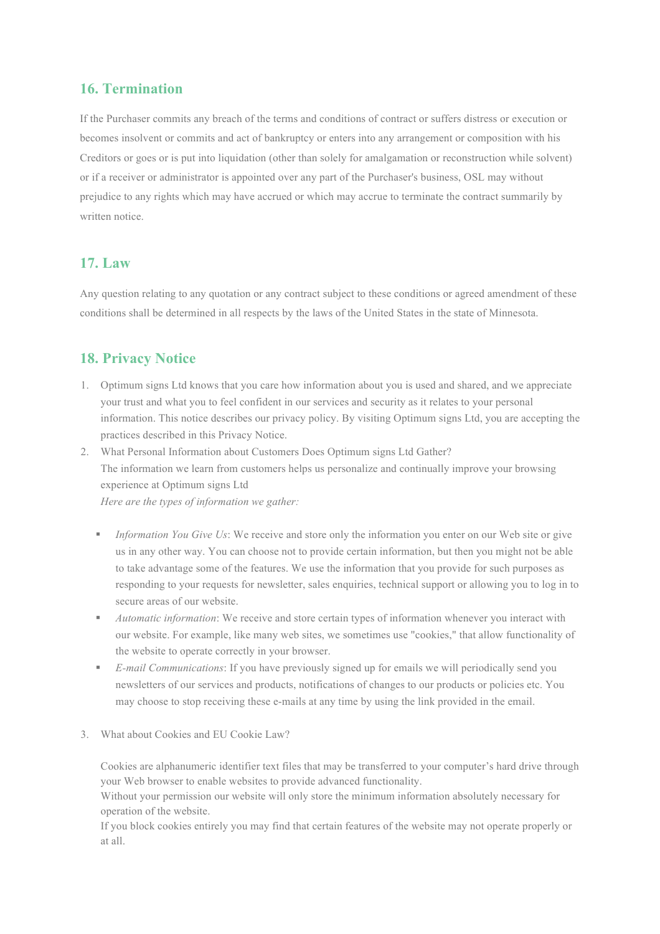#### **16. Termination**

If the Purchaser commits any breach of the terms and conditions of contract or suffers distress or execution or becomes insolvent or commits and act of bankruptcy or enters into any arrangement or composition with his Creditors or goes or is put into liquidation (other than solely for amalgamation or reconstruction while solvent) or if a receiver or administrator is appointed over any part of the Purchaser's business, OSL may without prejudice to any rights which may have accrued or which may accrue to terminate the contract summarily by written notice.

### **17. Law**

Any question relating to any quotation or any contract subject to these conditions or agreed amendment of these conditions shall be determined in all respects by the laws of the United States in the state of Minnesota.

## **18. Privacy Notice**

1. Optimum signs Ltd knows that you care how information about you is used and shared, and we appreciate your trust and what you to feel confident in our services and security as it relates to your personal information. This notice describes our privacy policy. By visiting Optimum signs Ltd, you are accepting the practices described in this Privacy Notice.

2. What Personal Information about Customers Does Optimum signs Ltd Gather? The information we learn from customers helps us personalize and continually improve your browsing experience at Optimum signs Ltd *Here are the types of information we gather:*

- ! *Information You Give Us*: We receive and store only the information you enter on our Web site or give us in any other way. You can choose not to provide certain information, but then you might not be able to take advantage some of the features. We use the information that you provide for such purposes as responding to your requests for newsletter, sales enquiries, technical support or allowing you to log in to secure areas of our website.
- ! *Automatic information*: We receive and store certain types of information whenever you interact with our website. For example, like many web sites, we sometimes use "cookies," that allow functionality of the website to operate correctly in your browser.
- ! *E-mail Communications*: If you have previously signed up for emails we will periodically send you newsletters of our services and products, notifications of changes to our products or policies etc. You may choose to stop receiving these e-mails at any time by using the link provided in the email.
- 3. What about Cookies and EU Cookie Law?

Cookies are alphanumeric identifier text files that may be transferred to your computer's hard drive through your Web browser to enable websites to provide advanced functionality.

Without your permission our website will only store the minimum information absolutely necessary for operation of the website.

If you block cookies entirely you may find that certain features of the website may not operate properly or at all.